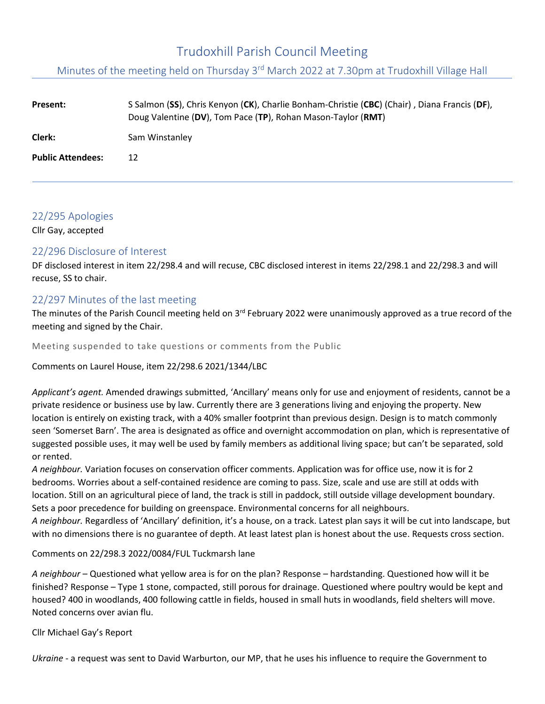# Trudoxhill Parish Council Meeting

Minutes of the meeting held on Thursday 3<sup>rd</sup> March 2022 at 7.30pm at Trudoxhill Village Hall

| Present:                 | S Salmon (SS), Chris Kenyon (CK), Charlie Bonham-Christie (CBC) (Chair), Diana Francis (DF),<br>Doug Valentine (DV), Tom Pace (TP), Rohan Mason-Taylor (RMT) |
|--------------------------|--------------------------------------------------------------------------------------------------------------------------------------------------------------|
| Clerk:                   | Sam Winstanley                                                                                                                                               |
| <b>Public Attendees:</b> | 12                                                                                                                                                           |

# 22/295 Apologies

Cllr Gay, accepted

# 22/296 Disclosure of Interest

DF disclosed interest in item 22/298.4 and will recuse, CBC disclosed interest in items 22/298.1 and 22/298.3 and will recuse, SS to chair.

# 22/297 Minutes of the last meeting

The minutes of the Parish Council meeting held on 3<sup>rd</sup> February 2022 were unanimously approved as a true record of the meeting and signed by the Chair.

Meeting suspended to take questions or comments from the Public

Comments on Laurel House, item 22/298.6 2021/1344/LBC

*Applicant's agent.* Amended drawings submitted, 'Ancillary' means only for use and enjoyment of residents, cannot be a private residence or business use by law. Currently there are 3 generations living and enjoying the property. New location is entirely on existing track, with a 40% smaller footprint than previous design. Design is to match commonly seen 'Somerset Barn'. The area is designated as office and overnight accommodation on plan, which is representative of suggested possible uses, it may well be used by family members as additional living space; but can't be separated, sold or rented.

*A neighbour.* Variation focuses on conservation officer comments. Application was for office use, now it is for 2 bedrooms. Worries about a self-contained residence are coming to pass. Size, scale and use are still at odds with location. Still on an agricultural piece of land, the track is still in paddock, still outside village development boundary. Sets a poor precedence for building on greenspace. Environmental concerns for all neighbours.

*A neighbour.* Regardless of 'Ancillary' definition, it's a house, on a track. Latest plan says it will be cut into landscape, but with no dimensions there is no guarantee of depth. At least latest plan is honest about the use. Requests cross section.

Comments on 22/298.3 2022/0084/FUL Tuckmarsh lane

*A neighbour* – Questioned what yellow area is for on the plan? Response – hardstanding. Questioned how will it be finished? Response – Type 1 stone, compacted, still porous for drainage. Questioned where poultry would be kept and housed? 400 in woodlands, 400 following cattle in fields, housed in small huts in woodlands, field shelters will move. Noted concerns over avian flu.

Cllr Michael Gay's Report

*Ukraine* - a request was sent to David Warburton, our MP, that he uses his influence to require the Government to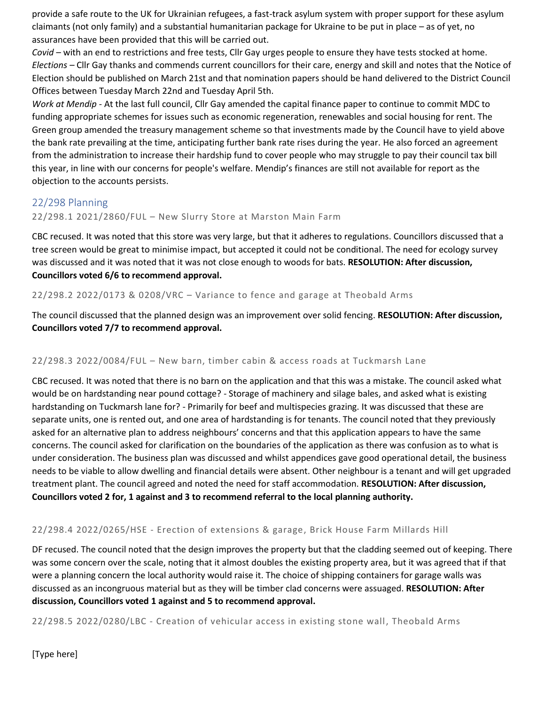provide a safe route to the UK for Ukrainian refugees, a fast-track asylum system with proper support for these asylum claimants (not only family) and a substantial humanitarian package for Ukraine to be put in place – as of yet, no assurances have been provided that this will be carried out.

*Covid –* with an end to restrictions and free tests, Cllr Gay urges people to ensure they have tests stocked at home. *Elections –* Cllr Gay thanks and commends current councillors for their care, energy and skill and notes that the Notice of Election should be published on March 21st and that nomination papers should be hand delivered to the District Council Offices between Tuesday March 22nd and Tuesday April 5th.

*Work at Mendip -* At the last full council, Cllr Gay amended the capital finance paper to continue to commit MDC to funding appropriate schemes for issues such as economic regeneration, renewables and social housing for rent. The Green group amended the treasury management scheme so that investments made by the Council have to yield above the bank rate prevailing at the time, anticipating further bank rate rises during the year. He also forced an agreement from the administration to increase their hardship fund to cover people who may struggle to pay their council tax bill this year, in line with our concerns for people's welfare. Mendip's finances are still not available for report as the objection to the accounts persists.

# 22/298 Planning

#### 22/298.1 2021/2860/FUL – New Slurry Store at Marston Main Farm

CBC recused. It was noted that this store was very large, but that it adheres to regulations. Councillors discussed that a tree screen would be great to minimise impact, but accepted it could not be conditional. The need for ecology survey was discussed and it was noted that it was not close enough to woods for bats. **RESOLUTION: After discussion, Councillors voted 6/6 to recommend approval.**

#### 22/298.2 2022/0173 & 0208/VRC – Variance to fence and garage at Theobald Arms

The council discussed that the planned design was an improvement over solid fencing. **RESOLUTION: After discussion, Councillors voted 7/7 to recommend approval.**

#### 22/298.3 2022/0084/FUL – New barn, timber cabin & access roads at Tuckmarsh Lane

CBC recused. It was noted that there is no barn on the application and that this was a mistake. The council asked what would be on hardstanding near pound cottage? - Storage of machinery and silage bales, and asked what is existing hardstanding on Tuckmarsh lane for? - Primarily for beef and multispecies grazing. It was discussed that these are separate units, one is rented out, and one area of hardstanding is for tenants. The council noted that they previously asked for an alternative plan to address neighbours' concerns and that this application appears to have the same concerns. The council asked for clarification on the boundaries of the application as there was confusion as to what is under consideration. The business plan was discussed and whilst appendices gave good operational detail, the business needs to be viable to allow dwelling and financial details were absent. Other neighbour is a tenant and will get upgraded treatment plant. The council agreed and noted the need for staff accommodation. **RESOLUTION: After discussion, Councillors voted 2 for, 1 against and 3 to recommend referral to the local planning authority.**

#### 22/298.4 2022/0265/HSE - Erection of extensions & garage, Brick House Farm Millards Hill

DF recused. The council noted that the design improves the property but that the cladding seemed out of keeping. There was some concern over the scale, noting that it almost doubles the existing property area, but it was agreed that if that were a planning concern the local authority would raise it. The choice of shipping containers for garage walls was discussed as an incongruous material but as they will be timber clad concerns were assuaged. **RESOLUTION: After discussion, Councillors voted 1 against and 5 to recommend approval.**

22/298.5 2022/0280/LBC - Creation of vehicular access in existing stone wall, Theobald Arms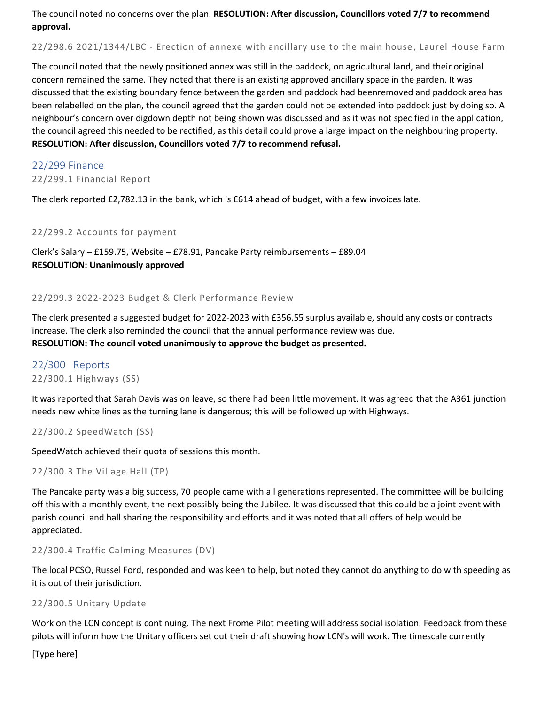The council noted no concerns over the plan. **RESOLUTION: After discussion, Councillors voted 7/7 to recommend approval.**

22/298.6 2021/1344/LBC - Erection of annexe with ancillary use to the main house , Laurel House Farm

The council noted that the newly positioned annex was still in the paddock, on agricultural land, and their original concern remained the same. They noted that there is an existing approved ancillary space in the garden. It was discussed that the existing boundary fence between the garden and paddock had beenremoved and paddock area has been relabelled on the plan, the council agreed that the garden could not be extended into paddock just by doing so. A neighbour's concern over digdown depth not being shown was discussed and as it was not specified in the application, the council agreed this needed to be rectified, as this detail could prove a large impact on the neighbouring property. **RESOLUTION: After discussion, Councillors voted 7/7 to recommend refusal.**

# 22/299 Finance

22/299.1 Financial Report

The clerk reported £2,782.13 in the bank, which is £614 ahead of budget, with a few invoices late.

#### 22/299.2 Accounts for payment

Clerk's Salary – £159.75, Website – £78.91, Pancake Party reimbursements – £89.04 **RESOLUTION: Unanimously approved**

#### 22/299.3 2022-2023 Budget & Clerk Performance Review

The clerk presented a suggested budget for 2022-2023 with £356.55 surplus available, should any costs or contracts increase. The clerk also reminded the council that the annual performance review was due. **RESOLUTION: The council voted unanimously to approve the budget as presented.**

#### 22/300 Reports 22/300.1 Highways (SS)

It was reported that Sarah Davis was on leave, so there had been little movement. It was agreed that the A361 junction needs new white lines as the turning lane is dangerous; this will be followed up with Highways.

```
22/300.2 SpeedWatch (SS)
```
SpeedWatch achieved their quota of sessions this month.

```
22/300.3 The Village Hall (TP)
```
The Pancake party was a big success, 70 people came with all generations represented. The committee will be building off this with a monthly event, the next possibly being the Jubilee. It was discussed that this could be a joint event with parish council and hall sharing the responsibility and efforts and it was noted that all offers of help would be appreciated.

#### 22/300.4 Traffic Calming Measures (DV)

The local PCSO, Russel Ford, responded and was keen to help, but noted they cannot do anything to do with speeding as it is out of their jurisdiction.

#### 22/300.5 Unitary Update

Work on the LCN concept is continuing. The next Frome Pilot meeting will address social isolation. Feedback from these pilots will inform how the Unitary officers set out their draft showing how LCN's will work. The timescale currently

[Type here]